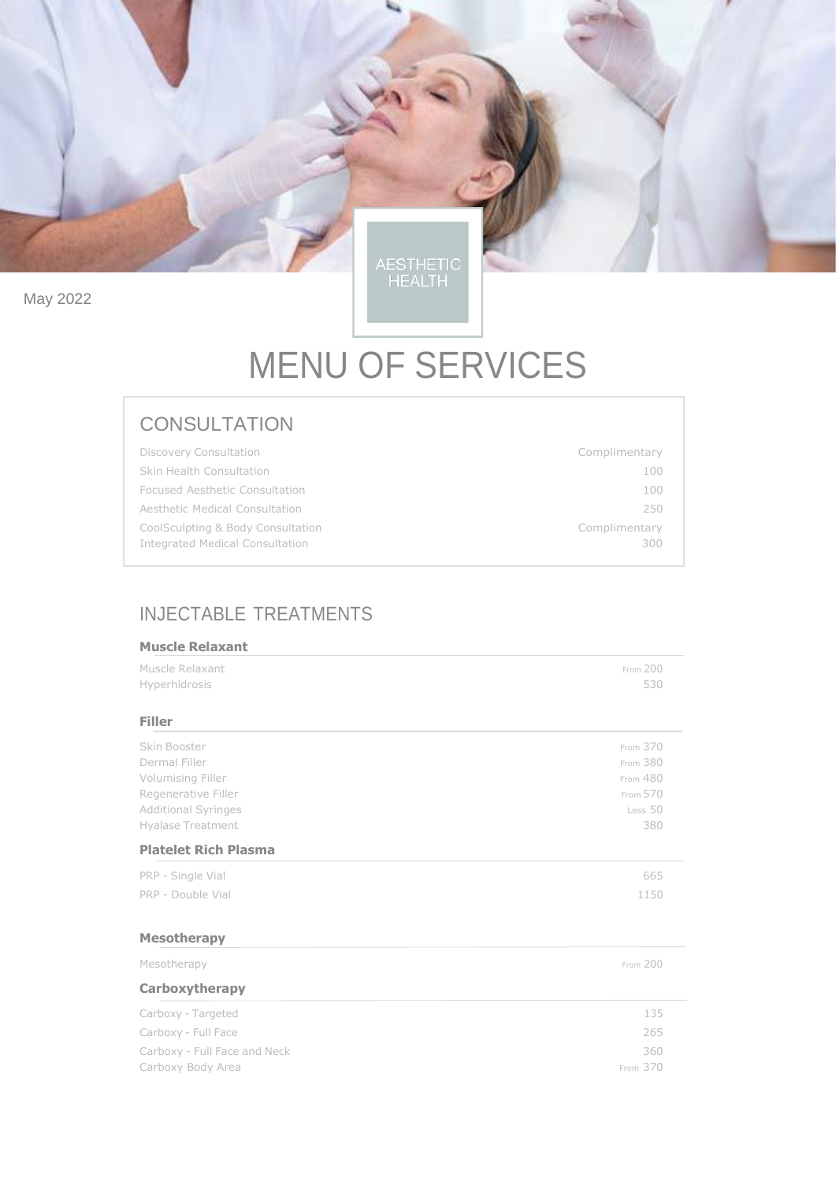May 2022

AESTHETIC<br>HEALTH

# MENU OF SERVICES

## **CONSULTATION**

| <b>Discovery Consultation</b>                                        | Complimentary        |
|----------------------------------------------------------------------|----------------------|
| Skin Health Consultation                                             | 100                  |
| Focused Aesthetic Consultation                                       | 100                  |
| Aesthetic Medical Consultation                                       | 250                  |
| CoolSculpting & Body Consultation<br>Integrated Medical Consultation | Complimentary<br>300 |

## INJECTABLE TREATMENTS

| <b>Muscle Relaxant</b>           |                 |
|----------------------------------|-----------------|
| Muscle Relaxant<br>Hyperhidrosis | From 200<br>530 |
| <b>Filler</b>                    |                 |
| Skin Booster                     | From 370        |
| Dermal Filler                    | From 380        |
| Volumising Filler                | From 480        |
| Regenerative Filler              | From 570        |
| <b>Additional Syringes</b>       | Less 50         |
| <b>Hyalase Treatment</b>         | 380             |
| <b>Platelet Rich Plasma</b>      |                 |
| PRP - Single Vial                | 665             |
| PRP - Double Vial                | 1150            |
| <b>Mesotherapy</b>               |                 |
| Mesotherapy                      | From 200        |
| Carboxytherapy                   |                 |
| Carboxy - Targeted               | 135             |
| Carboxy - Full Face              | 265             |
| Carboxy - Full Face and Neck     | 360             |
| Carboxy Body Area                | From 370        |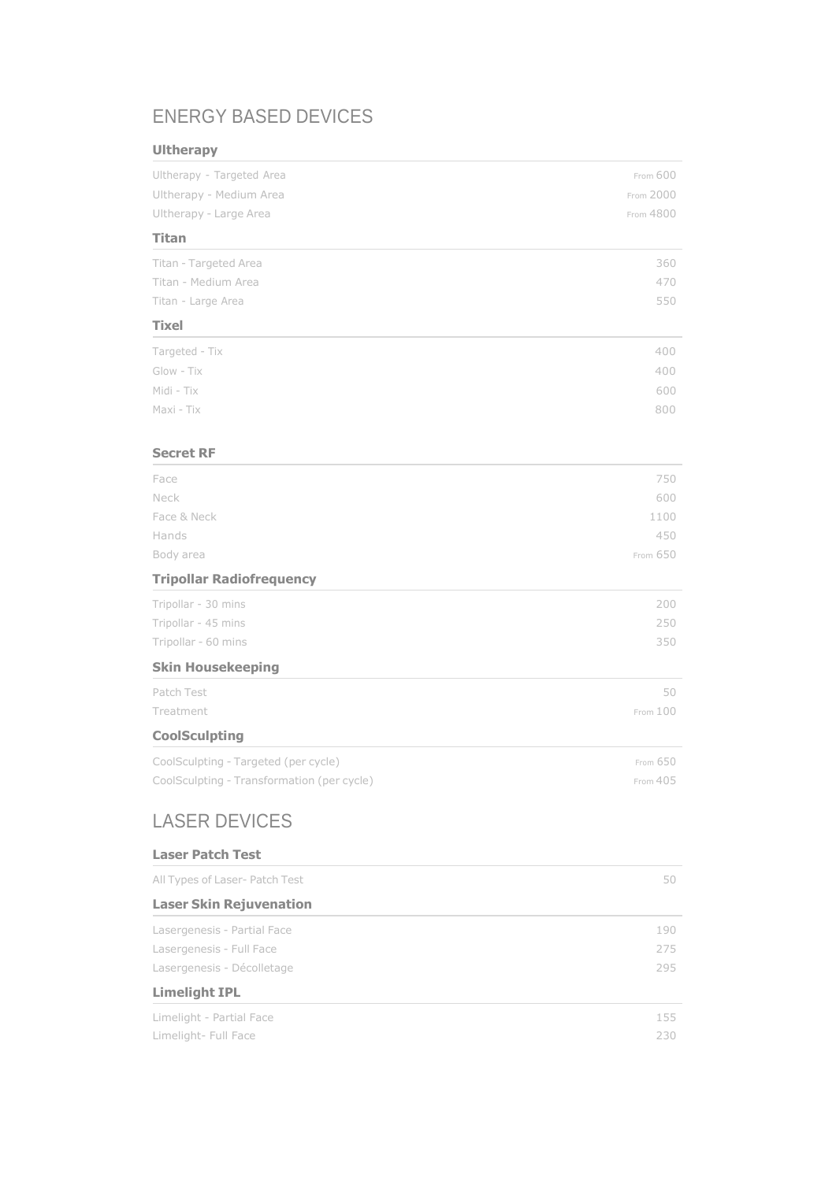## ENERGY BASED DEVICES

### **Ultherapy**

| . <sub>1</sub> . 1                         |           |
|--------------------------------------------|-----------|
| Ultherapy - Targeted Area                  | From 600  |
| Ultherapy - Medium Area                    | From 2000 |
| Ultherapy - Large Area                     | From 4800 |
| <b>Titan</b>                               |           |
| Titan - Targeted Area                      | 360       |
| Titan - Medium Area                        | 470       |
| Titan - Large Area                         | 550       |
| <b>Tixel</b>                               |           |
| Targeted - Tix                             | 400       |
| Glow - Tix                                 | 400       |
| Midi - Tix                                 | 600       |
| Maxi - Tix                                 | 800       |
|                                            |           |
| <b>Secret RF</b>                           |           |
| Face                                       | 750       |
| Neck                                       | 600       |
| Face & Neck                                | 1100      |
| Hands                                      | 450       |
| Body area                                  | From 650  |
| <b>Tripollar Radiofrequency</b>            |           |
| Tripollar - 30 mins                        | 200       |
| Tripollar - 45 mins                        | 250       |
| Tripollar - 60 mins                        | 350       |
| <b>Skin Housekeeping</b>                   |           |
| Patch Test                                 | 50        |
| Treatment                                  | From 100  |
| <b>CoolSculpting</b>                       |           |
| CoolSculpting - Targeted (per cycle)       | From 650  |
| CoolSculpting - Transformation (per cycle) | From 405  |
| <b>LASER DEVICES</b>                       |           |
| <b>Laser Patch Test</b>                    |           |
| All Types of Laser- Patch Test             | 50        |
| <b>Laser Skin Rejuvenation</b>             |           |
| Lasergenesis - Partial Face                | 190       |
| Lasergenesis - Full Face                   | 275       |
| Lasergenesis - Décolletage                 | 295       |
| <b>Limelight IPL</b>                       |           |
| Limelight - Partial Face                   | 155       |
|                                            |           |

Limelight- Full Face 230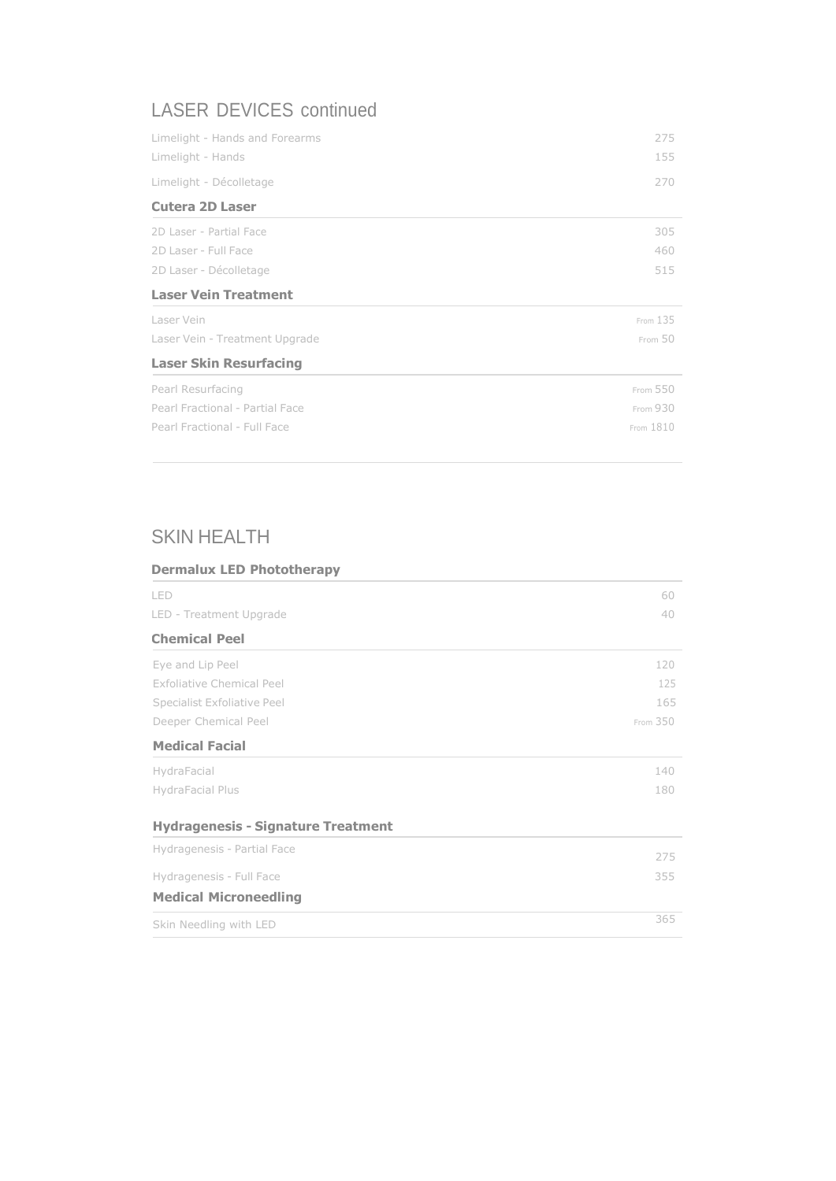## LASER DEVICES continued

| Limelight - Hands and Forearms  | 275      |
|---------------------------------|----------|
| Limelight - Hands               | 155      |
| Limelight - Décolletage         | 270      |
| <b>Cutera 2D Laser</b>          |          |
| 2D Laser - Partial Face         | 305      |
| 2D Laser - Full Face            | 460      |
| 2D Laser - Décolletage          | 515      |
| <b>Laser Vein Treatment</b>     |          |
|                                 |          |
| Laser Vein                      | From 135 |
| Laser Vein - Treatment Upgrade  | From 50  |
| <b>Laser Skin Resurfacing</b>   |          |
| Pearl Resurfacing               | From 550 |
| Pearl Fractional - Partial Face | From 930 |

## SKIN HEALTH

| <b>Dermalux LED Phototherapy</b>          |          |
|-------------------------------------------|----------|
| LED                                       | 60       |
| LED - Treatment Upgrade                   | 40       |
| <b>Chemical Peel</b>                      |          |
| Eye and Lip Peel                          | 120      |
| <b>Exfoliative Chemical Peel</b>          | 125      |
| Specialist Exfoliative Peel               | 165      |
| Deeper Chemical Peel                      | From 350 |
| <b>Medical Facial</b>                     |          |
| HydraFacial                               | 140      |
| HydraFacial Plus                          | 180      |
| <b>Hydragenesis - Signature Treatment</b> |          |
| Hydragenesis - Partial Face               | 275      |
| Hydragenesis - Full Face                  | 355      |
| <b>Medical Microneedling</b>              |          |
| Skin Needling with LED                    | 365      |